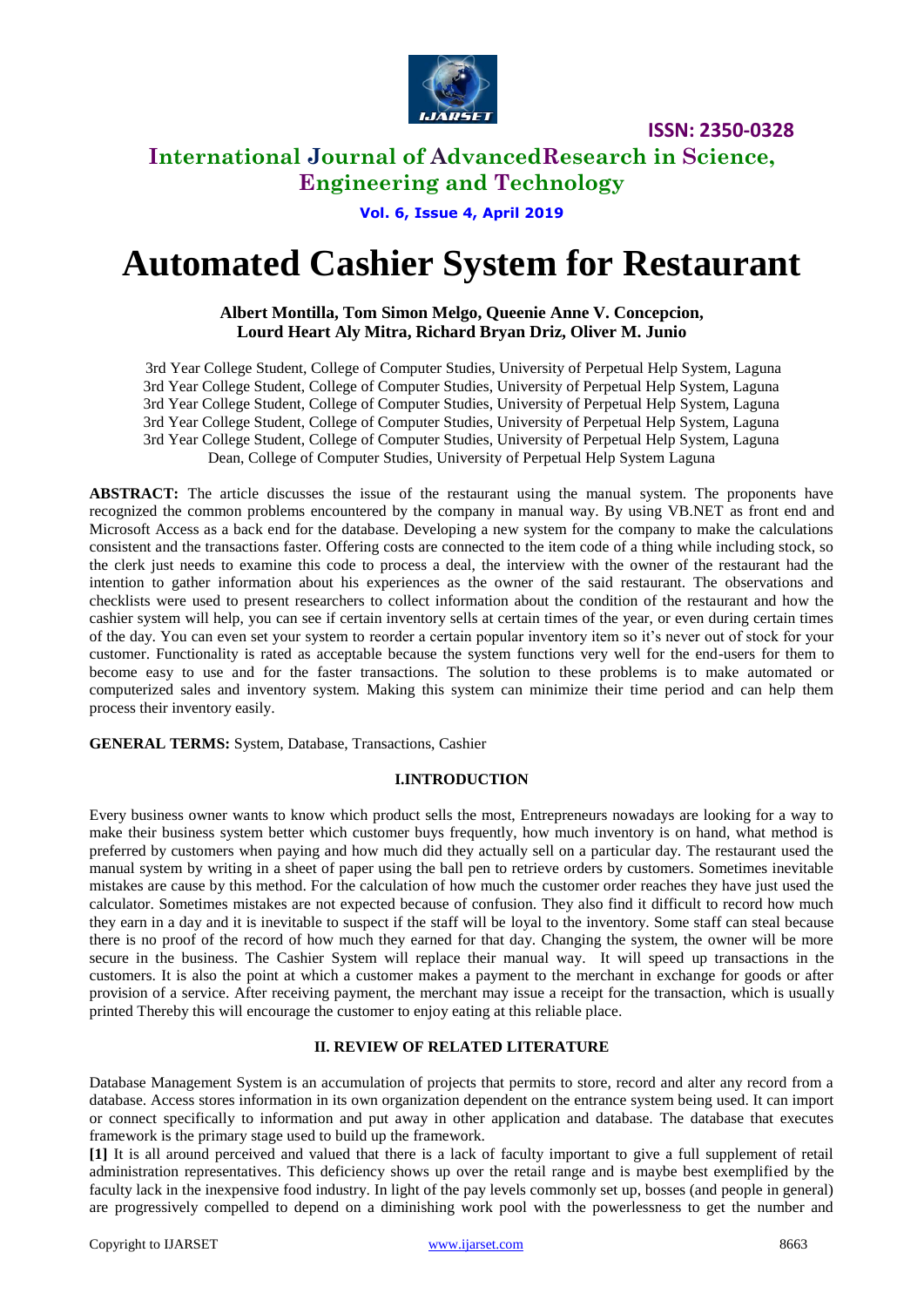

## **International Journal of AdvancedResearch in Science, Engineering and Technology**

**Vol. 6, Issue 4, April 2019**

# **Automated Cashier System for Restaurant**

#### **Albert Montilla, Tom Simon Melgo, Queenie Anne V. Concepcion, Lourd Heart Aly Mitra, Richard Bryan Driz, Oliver M. Junio**

3rd Year College Student, College of Computer Studies, University of Perpetual Help System, Laguna 3rd Year College Student, College of Computer Studies, University of Perpetual Help System, Laguna 3rd Year College Student, College of Computer Studies, University of Perpetual Help System, Laguna 3rd Year College Student, College of Computer Studies, University of Perpetual Help System, Laguna 3rd Year College Student, College of Computer Studies, University of Perpetual Help System, Laguna Dean, College of Computer Studies, University of Perpetual Help System Laguna

**ABSTRACT:** The article discusses the issue of the restaurant using the manual system. The proponents have recognized the common problems encountered by the company in manual way. By using VB.NET as front end and Microsoft Access as a back end for the database. Developing a new system for the company to make the calculations consistent and the transactions faster. Offering costs are connected to the item code of a thing while including stock, so the clerk just needs to examine this code to process a deal, the interview with the owner of the restaurant had the intention to gather information about his experiences as the owner of the said restaurant. The observations and checklists were used to present researchers to collect information about the condition of the restaurant and how the cashier system will help, you can see if certain inventory sells at certain times of the year, or even during certain times of the day. You can even set your system to reorder a certain popular inventory item so it's never out of stock for your customer. Functionality is rated as acceptable because the system functions very well for the end-users for them to become easy to use and for the faster transactions. The solution to these problems is to make automated or computerized sales and inventory system. Making this system can minimize their time period and can help them process their inventory easily.

**GENERAL TERMS:** System, Database, Transactions, Cashier

#### **I.INTRODUCTION**

Every business owner wants to know which product sells the most, Entrepreneurs nowadays are looking for a way to make their business system better which customer buys frequently, how much inventory is on hand, what method is preferred by customers when paying and how much did they actually sell on a particular day. The restaurant used the manual system by writing in a sheet of paper using the ball pen to retrieve orders by customers. Sometimes inevitable mistakes are cause by this method. For the calculation of how much the customer order reaches they have just used the calculator. Sometimes mistakes are not expected because of confusion. They also find it difficult to record how much they earn in a day and it is inevitable to suspect if the staff will be loyal to the inventory. Some staff can steal because there is no proof of the record of how much they earned for that day. Changing the system, the owner will be more secure in the business. The Cashier System will replace their manual way. It will speed up transactions in the customers. It is also the point at which a customer makes a payment to the merchant in exchange for goods or after provision of a service. After receiving payment, the merchant may issue a receipt for the transaction, which is usually printed Thereby this will encourage the customer to enjoy eating at this reliable place.

#### **II. REVIEW OF RELATED LITERATURE**

Database Management System is an accumulation of projects that permits to store, record and alter any record from a database. Access stores information in its own organization dependent on the entrance system being used. It can import or connect specifically to information and put away in other application and database. The database that executes framework is the primary stage used to build up the framework.

**[1]** It is all around perceived and valued that there is a lack of faculty important to give a full supplement of retail administration representatives. This deficiency shows up over the retail range and is maybe best exemplified by the faculty lack in the inexpensive food industry. In light of the pay levels commonly set up, bosses (and people in general) are progressively compelled to depend on a diminishing work pool with the powerlessness to get the number and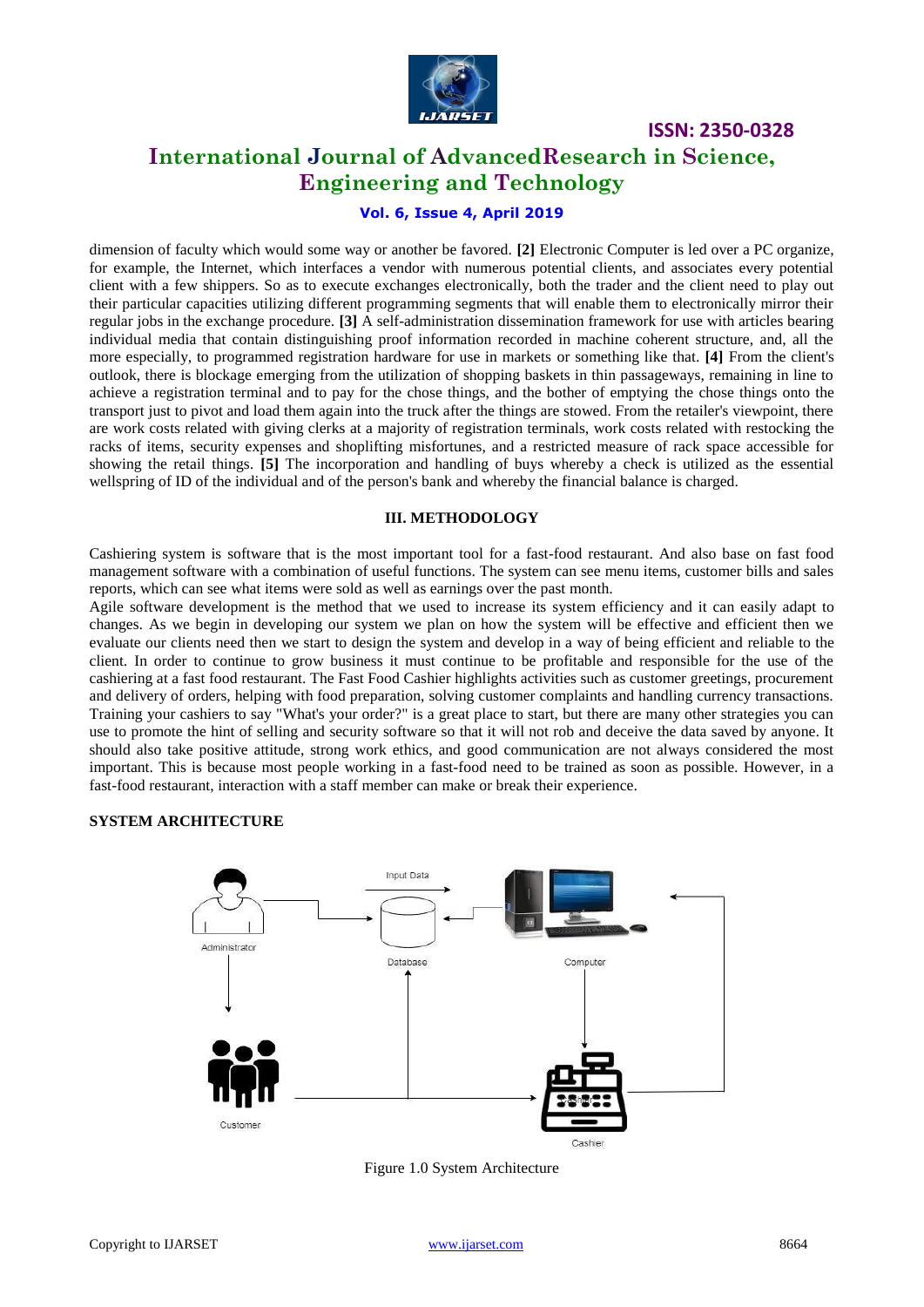

### **International Journal of AdvancedResearch in Science, Engineering and Technology**

## **Vol. 6, Issue 4, April 2019**

dimension of faculty which would some way or another be favored. **[2]** Electronic Computer is led over a PC organize, for example, the Internet, which interfaces a vendor with numerous potential clients, and associates every potential client with a few shippers. So as to execute exchanges electronically, both the trader and the client need to play out their particular capacities utilizing different programming segments that will enable them to electronically mirror their regular jobs in the exchange procedure. **[3]** A self-administration dissemination framework for use with articles bearing individual media that contain distinguishing proof information recorded in machine coherent structure, and, all the more especially, to programmed registration hardware for use in markets or something like that. **[4]** From the client's outlook, there is blockage emerging from the utilization of shopping baskets in thin passageways, remaining in line to achieve a registration terminal and to pay for the chose things, and the bother of emptying the chose things onto the transport just to pivot and load them again into the truck after the things are stowed. From the retailer's viewpoint, there are work costs related with giving clerks at a majority of registration terminals, work costs related with restocking the racks of items, security expenses and shoplifting misfortunes, and a restricted measure of rack space accessible for showing the retail things. **[5]** The incorporation and handling of buys whereby a check is utilized as the essential wellspring of ID of the individual and of the person's bank and whereby the financial balance is charged.

#### **III. METHODOLOGY**

Cashiering system is software that is the most important tool for a fast-food restaurant. And also base on fast food management software with a combination of useful functions. The system can see menu items, customer bills and sales reports, which can see what items were sold as well as earnings over the past month.

Agile software development is the method that we used to increase its system efficiency and it can easily adapt to changes. As we begin in developing our system we plan on how the system will be effective and efficient then we evaluate our clients need then we start to design the system and develop in a way of being efficient and reliable to the client. In order to continue to grow business it must continue to be profitable and responsible for the use of the cashiering at a fast food restaurant. The Fast Food Cashier highlights activities such as customer greetings, procurement and delivery of orders, helping with food preparation, solving customer complaints and handling currency transactions. Training your cashiers to say "What's your order?" is a great place to start, but there are many other strategies you can use to promote the hint of selling and security software so that it will not rob and deceive the data saved by anyone. It should also take positive attitude, strong work ethics, and good communication are not always considered the most important. This is because most people working in a fast-food need to be trained as soon as possible. However, in a fast-food restaurant, interaction with a staff member can make or break their experience.

#### **SYSTEM ARCHITECTURE**



Figure 1.0 System Architecture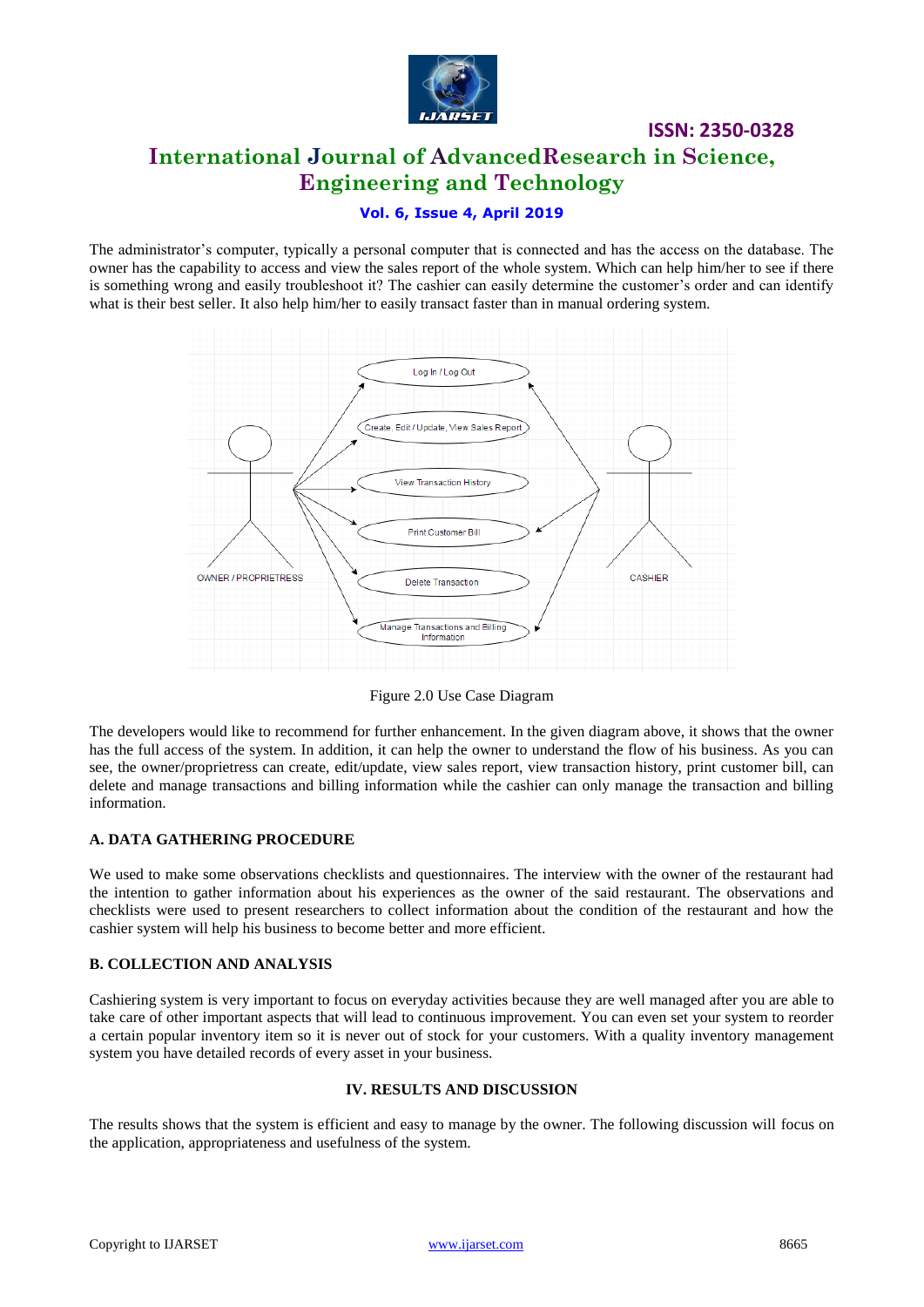

## **ISSN: 2350-0328 International Journal of AdvancedResearch in Science, Engineering and Technology**

#### **Vol. 6, Issue 4, April 2019**

The administrator's computer, typically a personal computer that is connected and has the access on the database. The owner has the capability to access and view the sales report of the whole system. Which can help him/her to see if there is something wrong and easily troubleshoot it? The cashier can easily determine the customer's order and can identify what is their best seller. It also help him/her to easily transact faster than in manual ordering system.



Figure 2.0 Use Case Diagram

The developers would like to recommend for further enhancement. In the given diagram above, it shows that the owner has the full access of the system. In addition, it can help the owner to understand the flow of his business. As you can see, the owner/proprietress can create, edit/update, view sales report, view transaction history, print customer bill, can delete and manage transactions and billing information while the cashier can only manage the transaction and billing information.

#### **A. DATA GATHERING PROCEDURE**

We used to make some observations checklists and questionnaires. The interview with the owner of the restaurant had the intention to gather information about his experiences as the owner of the said restaurant. The observations and checklists were used to present researchers to collect information about the condition of the restaurant and how the cashier system will help his business to become better and more efficient.

#### **B. COLLECTION AND ANALYSIS**

Cashiering system is very important to focus on everyday activities because they are well managed after you are able to take care of other important aspects that will lead to continuous improvement. You can even set your system to reorder a certain popular inventory item so it is never out of stock for your customers. With a quality inventory management system you have detailed records of every asset in your business.

#### **IV. RESULTS AND DISCUSSION**

The results shows that the system is efficient and easy to manage by the owner. The following discussion will focus on the application, appropriateness and usefulness of the system.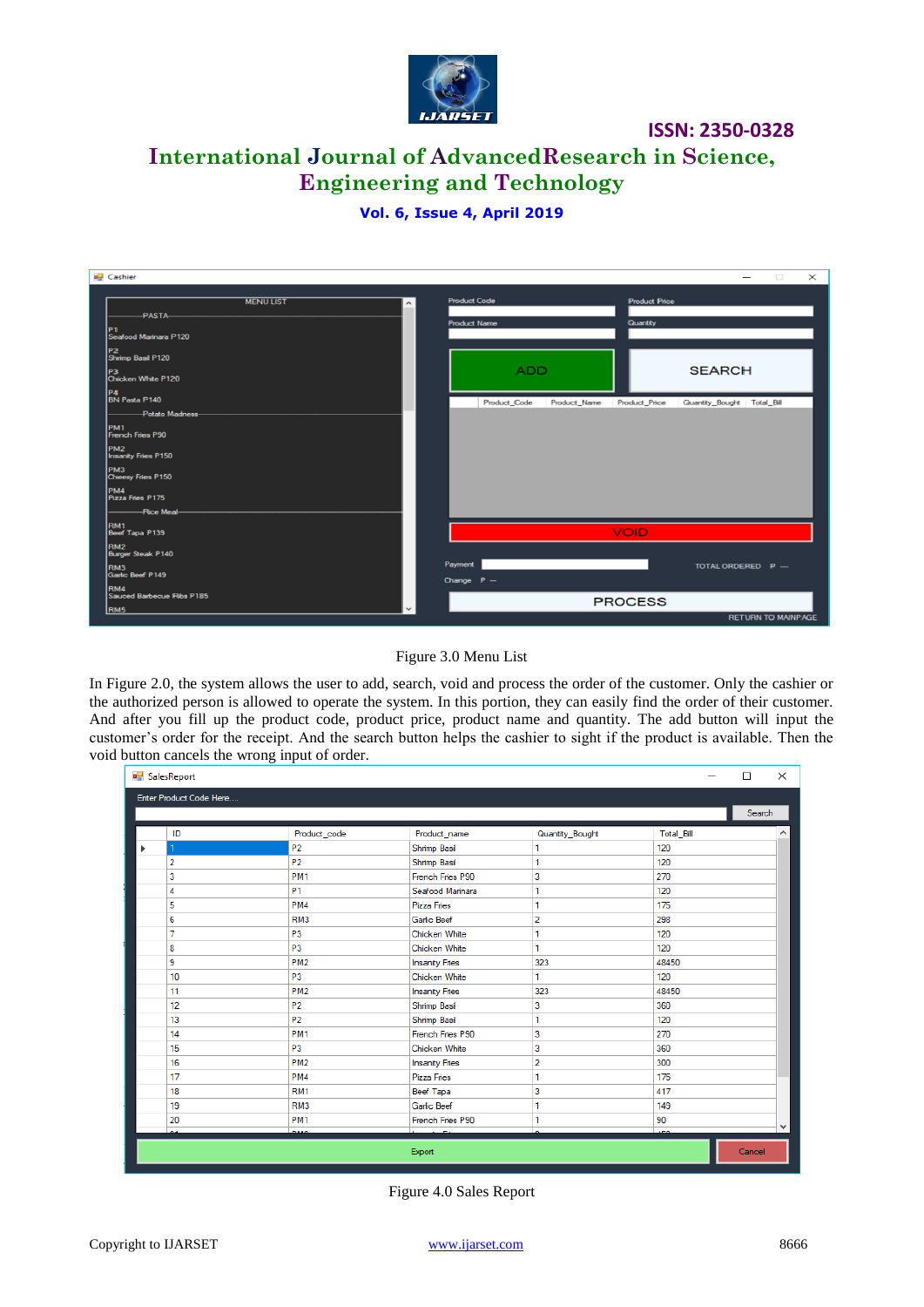

## **International Journal of AdvancedResearch in Science, Engineering and Technology**

#### **Vol. 6, Issue 4, April 2019**

| Cashier                                                                                                                                                                                | $\Box$<br>$\times$                                                             |
|----------------------------------------------------------------------------------------------------------------------------------------------------------------------------------------|--------------------------------------------------------------------------------|
| <b>MENULIST</b><br>$\hat{\phantom{a}}$<br>-PASTA-<br>P1<br>Seafood Marinara P120<br>P <sub>2</sub><br>Shrimp Basil P120                                                                | <b>Product Code</b><br><b>Product Price</b><br>Quantity<br><b>Product Name</b> |
| P3<br>Chicken White P120                                                                                                                                                               | <b>ADD</b><br><b>SEARCH</b>                                                    |
| P4<br>BN Pasta P140<br>-Potato Madness-<br>PM <sub>1</sub><br>French Fries P90<br>PM <sub>2</sub><br><b>Insanity Fries P150</b><br>PM3<br>Cheesy Fries P150<br>PM4<br>Pizza Fries P175 | Quantity_Bought Total_Bill<br>Product_Code<br>Product Name<br>Product Price    |
| RM1<br>Beef Tapa P139<br>RM <sub>2</sub>                                                                                                                                               | <b>VOID</b>                                                                    |
| Burger Steak P140<br>RM3<br>Garlic Beef P149                                                                                                                                           | Payment<br>TOTAL ORDERED P -<br>Change P-                                      |
| RM4<br>Sauced Barbecue Ribs P185<br><b>RM5</b>                                                                                                                                         | <b>PROCESS</b><br><b>RETURN TO MAINPAGE</b>                                    |

#### Figure 3.0 Menu List

In Figure 2.0, the system allows the user to add, search, void and process the order of the customer. Only the cashier or the authorized person is allowed to operate the system. In this portion, they can easily find the order of their customer. And after you fill up the product code, product price, product name and quantity. The add button will input the customer's order for the receipt. And the search button helps the cashier to sight if the product is available. Then the void button cancels the wrong input of order.

|                         | a SalesReport<br>$\times$<br>□ |                 |                       |                 |            |   |  |
|-------------------------|--------------------------------|-----------------|-----------------------|-----------------|------------|---|--|
| Enter Product Code Here |                                |                 |                       |                 |            |   |  |
|                         |                                |                 |                       |                 | Search     |   |  |
|                         | ID                             | Product_code    | Product_name          | Quantity_Bought | Total_Bill | A |  |
| ь                       |                                | P <sub>2</sub>  | Shrimp Basil          |                 | 120        |   |  |
|                         | $\overline{2}$                 | P <sub>2</sub>  | Shrimp Basil          | 1               | 120        |   |  |
|                         | 3                              | PM <sub>1</sub> | French Fries P90      | 3               | 270        |   |  |
|                         | 4                              | P <sub>1</sub>  | Seafood Marinara      | 1               | 120        |   |  |
|                         | 5                              | PM4             | <b>Pizza Fries</b>    | 1               | 175        |   |  |
|                         | 6                              | RM <sub>3</sub> | <b>Garlic Beef</b>    | $\overline{2}$  | 298        |   |  |
|                         | 7                              | P <sub>3</sub>  | Chicken White         | 1               | 120        |   |  |
|                         | 8                              | P <sub>3</sub>  | Chicken White         | 1               | 120        |   |  |
|                         | 9                              | PM <sub>2</sub> | <b>Insanity Fries</b> | 323             | 48450      |   |  |
|                         | 10                             | P <sub>3</sub>  | Chicken White         | 1               | 120        |   |  |
|                         | 11                             | PM <sub>2</sub> | <b>Insanity Fries</b> | 323             | 48450      |   |  |
|                         | 12                             | P <sub>2</sub>  | Shrimp Basil          | 3               | 360        |   |  |
|                         | 13                             | P <sub>2</sub>  | Shrimp Basil          | 1               | 120        |   |  |
|                         | 14                             | PM <sub>1</sub> | French Fries P90      | 3               | 270        |   |  |
|                         | 15                             | P <sub>3</sub>  | Chicken White         | 3               | 360        |   |  |
|                         | 16                             | PM <sub>2</sub> | <b>Insanity Fries</b> | $\overline{a}$  | 300        |   |  |
|                         | 17                             | PM <sub>4</sub> | <b>Pizza Fries</b>    | 1               | 175        |   |  |
|                         | 18                             | RM <sub>1</sub> | <b>Beef Tapa</b>      | 3               | 417        |   |  |
|                         | 19                             | RM <sub>3</sub> | <b>Garlic Beef</b>    | 1               | 149        |   |  |
|                         | 20                             | PM <sub>1</sub> | French Fries P90      | 1               | 90         | v |  |
|                         |                                | ---             |                       |                 |            |   |  |
|                         | Export<br>Cancel               |                 |                       |                 |            |   |  |

Figure 4.0 Sales Report